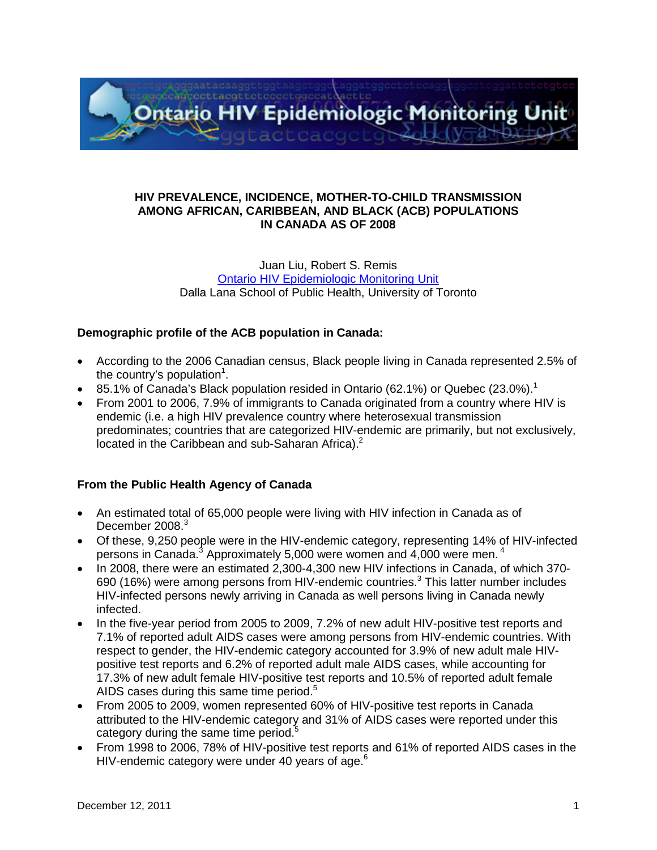

### **HIV PREVALENCE, INCIDENCE, MOTHER-TO-CHILD TRANSMISSION AMONG AFRICAN, CARIBBEAN, AND BLACK (ACB) POPULATIONS IN CANADA AS OF 2008**

#### Juan Liu, Robert S. Remis [Ontario HIV Epidemiologic Monitoring Unit](http://www.phs.utoronto.ca/ohemu/mandate.html) Dalla Lana School of Public Health, University of Toronto

## **Demographic profile of the ACB population in Canada:**

- According to the 2006 Canadian census, Black people living in Canada represented 2.5% of the country's population<sup>1</sup>.
- 85.1% of Canada's Black population resided in Ontario (62.1%) or Quebec (23.0%).<sup>1</sup>
- From 2001 to 2006, 7.9% of immigrants to Canada originated from a country where HIV is endemic (i.e. a high HIV prevalence country where heterosexual transmission predominates; countries that are categorized HIV-endemic are primarily, but not exclusively, located in the Caribbean and sub-Saharan Africa).<sup>2</sup>

# **From the Public Health Agency of Canada**

- An estimated total of 65,000 people were living with HIV infection in Canada as of December 2008.<sup>3</sup>
- Of these, 9,250 people were in the HIV-endemic category, representing 14% of HIV-infected persons in Canada.<sup>3</sup> Approximately 5,000 were women and 4,000 were men.<sup>4</sup>
- In 2008, there were an estimated 2,300-4,300 new HIV infections in Canada, of which 370- 690 (16%) were among persons from HIV-endemic countries.<sup>3</sup> This latter number includes HIV-infected persons newly arriving in Canada as well persons living in Canada newly infected.
- In the five-year period from 2005 to 2009, 7.2% of new adult HIV-positive test reports and 7.1% of reported adult AIDS cases were among persons from HIV-endemic countries. With respect to gender, the HIV-endemic category accounted for 3.9% of new adult male HIVpositive test reports and 6.2% of reported adult male AIDS cases, while accounting for 17.3% of new adult female HIV-positive test reports and 10.5% of reported adult female AIDS cases during this same time period.<sup>5</sup>
- From 2005 to 2009, women represented 60% of HIV-positive test reports in Canada attributed to the HIV-endemic category and 31% of AIDS cases were reported under this category during the same time period.<sup>5</sup>
- From 1998 to 2006, 78% of HIV-positive test reports and 61% of reported AIDS cases in the HIV-endemic category were under 40 years of age.<sup>6</sup>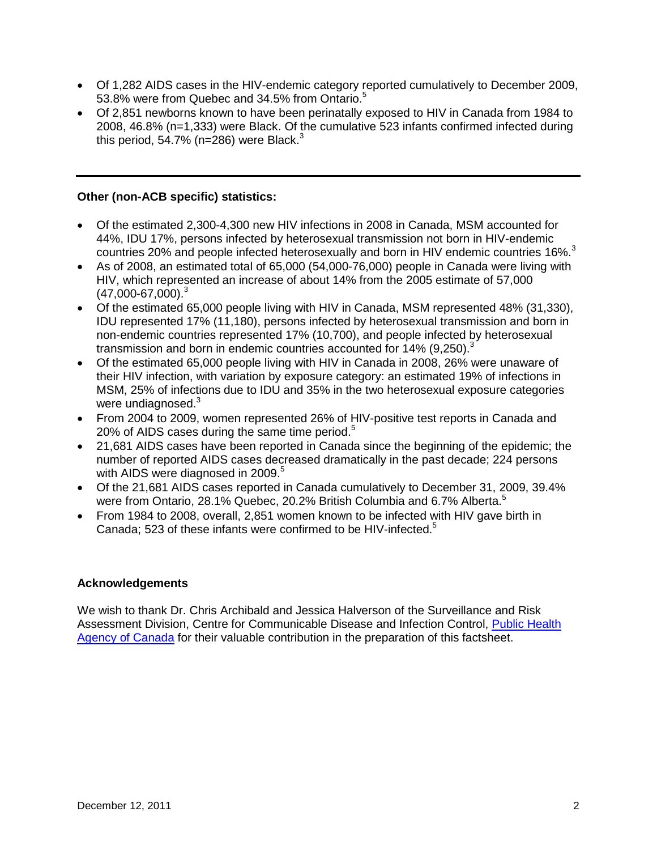- Of 1,282 AIDS cases in the HIV-endemic category reported cumulatively to December 2009, 53.8% were from Quebec and 34.5% from Ontario.<sup>5</sup>
- Of 2,851 newborns known to have been perinatally exposed to HIV in Canada from 1984 to 2008, 46.8% (n=1,333) were Black. Of the cumulative 523 infants confirmed infected during this period, 54.7% (n=286) were Black. $3$

## **Other (non-ACB specific) statistics:**

- Of the estimated 2,300-4,300 new HIV infections in 2008 in Canada, MSM accounted for 44%, IDU 17%, persons infected by heterosexual transmission not born in HIV-endemic countries 20% and people infected heterosexually and born in HIV endemic countries 16%.<sup>3</sup>
- As of 2008, an estimated total of 65,000 (54,000-76,000) people in Canada were living with HIV, which represented an increase of about 14% from the 2005 estimate of 57,000  $(47,000-67,000)^3$
- Of the estimated 65,000 people living with HIV in Canada, MSM represented 48% (31,330), IDU represented 17% (11,180), persons infected by heterosexual transmission and born in non-endemic countries represented 17% (10,700), and people infected by heterosexual transmission and born in endemic countries accounted for 14% (9,250). $3$
- Of the estimated 65,000 people living with HIV in Canada in 2008, 26% were unaware of their HIV infection, with variation by exposure category: an estimated 19% of infections in MSM, 25% of infections due to IDU and 35% in the two heterosexual exposure categories were undiagnosed.<sup>3</sup>
- From 2004 to 2009, women represented 26% of HIV-positive test reports in Canada and 20% of AIDS cases during the same time period. $5$
- 21,681 AIDS cases have been reported in Canada since the beginning of the epidemic; the number of reported AIDS cases decreased dramatically in the past decade; 224 persons with AIDS were diagnosed in 2009.<sup>5</sup>
- Of the 21,681 AIDS cases reported in Canada cumulatively to December 31, 2009, 39.4% were from Ontario, 28.1% Quebec, 20.2% British Columbia and 6.7% Alberta.<sup>5</sup>
- From 1984 to 2008, overall, 2,851 women known to be infected with HIV gave birth in Canada; 523 of these infants were confirmed to be HIV-infected.<sup>5</sup>

### **Acknowledgements**

We wish to thank Dr. Chris Archibald and Jessica Halverson of the Surveillance and Risk Assessment Division, Centre for Communicable Disease and Infection Control, [Public Health](http://www.phac-aspc.gc.ca/)  [Agency of Canada](http://www.phac-aspc.gc.ca/) for their valuable contribution in the preparation of this factsheet.